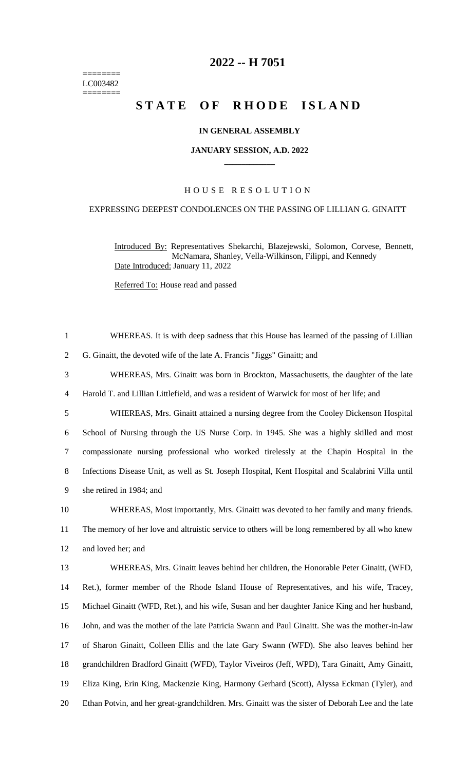======== LC003482  $=$ 

# **-- H 7051**

# **STATE OF RHODE ISLAND**

### **IN GENERAL ASSEMBLY**

#### **JANUARY SESSION, A.D. 2022 \_\_\_\_\_\_\_\_\_\_\_\_**

## H O U S E R E S O L U T I O N

#### EXPRESSING DEEPEST CONDOLENCES ON THE PASSING OF LILLIAN G. GINAITT

Introduced By: Representatives Shekarchi, Blazejewski, Solomon, Corvese, Bennett, McNamara, Shanley, Vella-Wilkinson, Filippi, and Kennedy Date Introduced: January 11, 2022

Referred To: House read and passed

| $\mathbf{1}$   | WHEREAS. It is with deep sadness that this House has learned of the passing of Lillian             |
|----------------|----------------------------------------------------------------------------------------------------|
| $\overline{2}$ | G. Ginaitt, the devoted wife of the late A. Francis "Jiggs" Ginaitt; and                           |
| 3              | WHEREAS, Mrs. Ginaitt was born in Brockton, Massachusetts, the daughter of the late                |
| $\overline{4}$ | Harold T. and Lillian Littlefield, and was a resident of Warwick for most of her life; and         |
| 5              | WHEREAS, Mrs. Ginaitt attained a nursing degree from the Cooley Dickenson Hospital                 |
| 6              | School of Nursing through the US Nurse Corp. in 1945. She was a highly skilled and most            |
| $\tau$         | compassionate nursing professional who worked tirelessly at the Chapin Hospital in the             |
| 8              | Infections Disease Unit, as well as St. Joseph Hospital, Kent Hospital and Scalabrini Villa until  |
| 9              | she retired in 1984; and                                                                           |
| 10             | WHEREAS, Most importantly, Mrs. Ginaitt was devoted to her family and many friends.                |
| 11             | The memory of her love and altruistic service to others will be long remembered by all who knew    |
| 12             | and loved her; and                                                                                 |
| 13             | WHEREAS, Mrs. Ginaitt leaves behind her children, the Honorable Peter Ginaitt, (WFD,               |
| 14             | Ret.), former member of the Rhode Island House of Representatives, and his wife, Tracey,           |
| 15             | Michael Ginaitt (WFD, Ret.), and his wife, Susan and her daughter Janice King and her husband,     |
| 16             | John, and was the mother of the late Patricia Swann and Paul Ginaitt. She was the mother-in-law    |
| 17             | of Sharon Ginaitt, Colleen Ellis and the late Gary Swann (WFD). She also leaves behind her         |
| 18             | grandchildren Bradford Ginaitt (WFD), Taylor Viveiros (Jeff, WPD), Tara Ginaitt, Amy Ginaitt,      |
| 19             | Eliza King, Erin King, Mackenzie King, Harmony Gerhard (Scott), Alyssa Eckman (Tyler), and         |
| 20             | Ethan Potvin, and her great-grandchildren. Mrs. Ginaitt was the sister of Deborah Lee and the late |